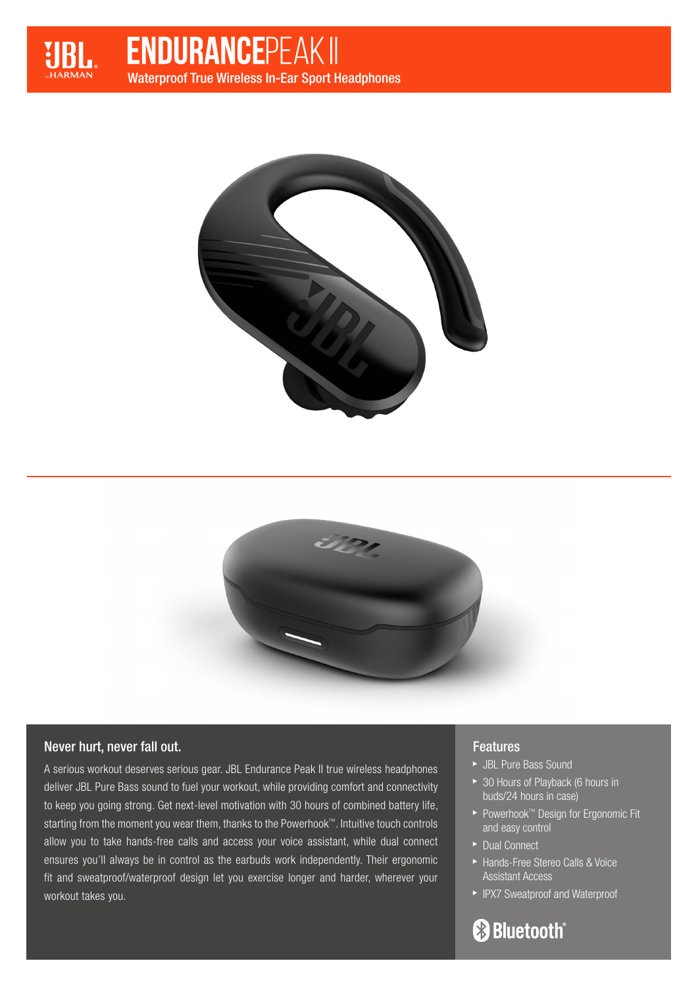

# **ENDURANCEPEAK II** Waterproof True Wireless In-Ear Sport Headphones





## Never hurt, never fall out.

A serious workout deserves serious gear. JBL Endurance Peak II true wireless headphones deliver JBL Pure Bass sound to fuel your workout, while providing comfort and connectivity to keep you going strong. Get next-level motivation with 30 hours of combined battery life, starting from the moment you wear them, thanks to the Powerhook™. Intuitive touch controls allow you to take hands-free calls and access your voice assistant, while dual connect ensures you'll always be in control as the earbuds work independently. Their ergonomic fit and sweatproof/waterproof design let you exercise longer and harder, wherever your workout takes you.

### **Features**

- JBL Pure Bass Sound
- ▶ 30 Hours of Playback (6 hours in buds/24 hours in case)
- Powerhook™ Design for Ergonomic Fit and easy control
- ▶ Dual Connect
- ▶ Hands-Free Stereo Calls & Voice Assistant Access
- ▶ IPX7 Sweatproof and Waterproof